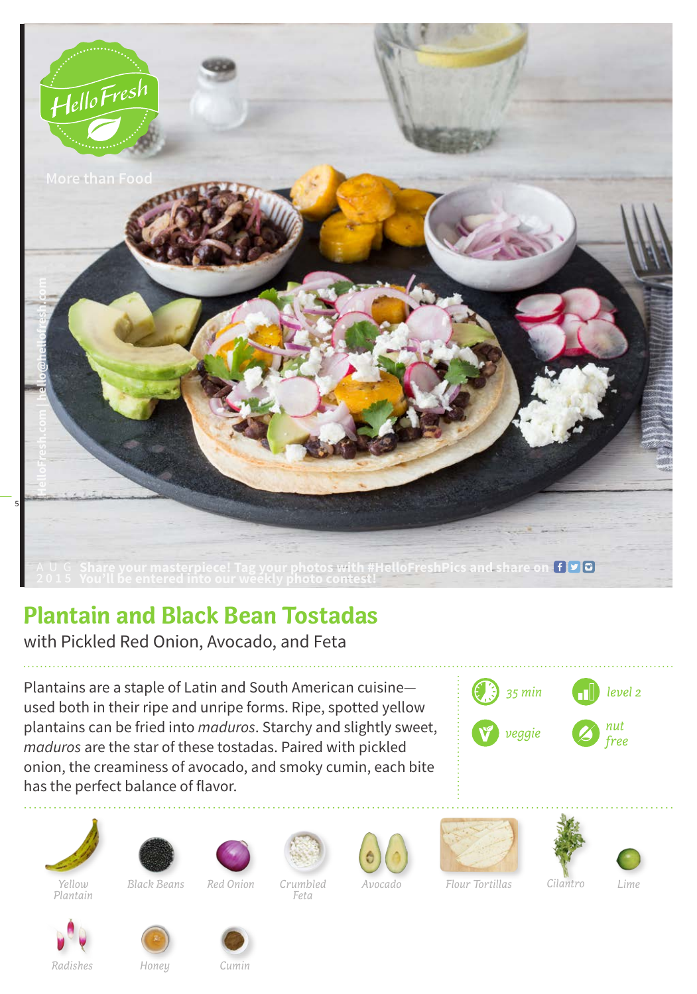

## **Plantain and Black Bean Tostadas**

with Pickled Red Onion, Avocado, and Feta

Plantains are a staple of Latin and South American cuisine used both in their ripe and unripe forms. Ripe, spotted yellow plantains can be fried into *maduros*. Starchy and slightly sweet, *maduros* are the star of these tostadas. Paired with pickled onion, the creaminess of avocado, and smoky cumin, each bite has the perfect balance of flavor.













*Feta*









*Yellow Plantain*

*Black Beans Red Onion Crumbled* 

*Radishes Honey*





*Cumin*



*Avocado Flour Tortillas Lime*

*Cilantro*